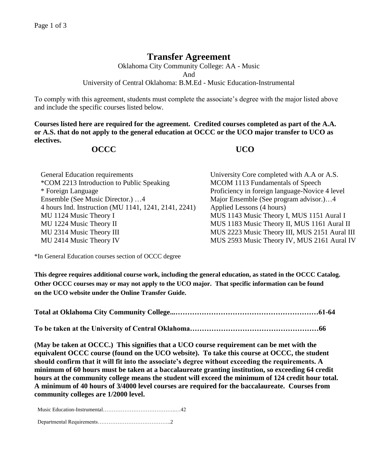## **Transfer Agreement**

Oklahoma City Community College: AA - Music And University of Central Oklahoma: B.M.Ed - Music Education-Instrumental

To comply with this agreement, students must complete the associate's degree with the major listed above and include the specific courses listed below.

**Courses listed here are required for the agreement. Credited courses completed as part of the A.A. or A.S. that do not apply to the general education at OCCC or the UCO major transfer to UCO as electives.**

## **OCCC UCO**

| General Education requirements                       | University Core completed with A.A or A.S.     |
|------------------------------------------------------|------------------------------------------------|
| *COM 2213 Introduction to Public Speaking            | MCOM 1113 Fundamentals of Speech               |
| * Foreign Language                                   | Proficiency in foreign language-Novice 4 level |
| Ensemble (See Music Director.) 4                     | Major Ensemble (See program advisor.)4         |
| 4 hours Ind. Instruction (MU 1141, 1241, 2141, 2241) | Applied Lessons (4 hours)                      |
| MU 1124 Music Theory I                               | MUS 1143 Music Theory I, MUS 1151 Aural I      |
| MU 1224 Music Theory II                              | MUS 1183 Music Theory II, MUS 1161 Aural II    |
| MU 2314 Music Theory III                             | MUS 2223 Music Theory III, MUS 2151 Aural III  |
| MU 2414 Music Theory IV                              | MUS 2593 Music Theory IV, MUS 2161 Aural IV    |

\*In General Education courses section of OCCC degree

**This degree requires additional course work, including the general education, as stated in the OCCC Catalog. Other OCCC courses may or may not apply to the UCO major. That specific information can be found on the UCO website under the Online Transfer Guide.**

**Total at Oklahoma City Community College...……………………………………………………61-64**

**To be taken at the University of Central Oklahoma………………………………………………66**

**(May be taken at OCCC.) This signifies that a UCO course requirement can be met with the equivalent OCCC course (found on the UCO website). To take this course at OCCC, the student should confirm that it will fit into the associate's degree without exceeding the requirements. A minimum of 60 hours must be taken at a baccalaureate granting institution, so exceeding 64 credit hours at the community college means the student will exceed the minimum of 124 credit hour total. A minimum of 40 hours of 3/4000 level courses are required for the baccalaureate. Courses from community colleges are 1/2000 level.**

Music Education-Instrumental…………………………………..…42

Departmental Requirements…………………………………..2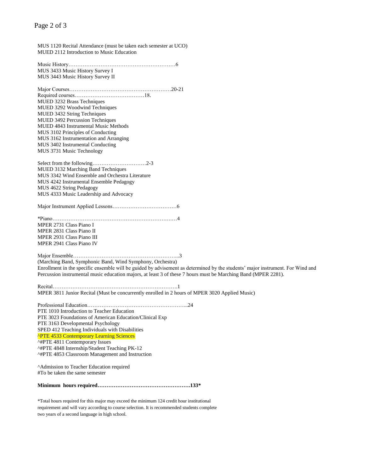## Page 2 of 3

MUS 1120 Recital Attendance (must be taken each semester at UCO) MUED 2112 Introduction to Music Education

Music History……………………………………………………6 MUS 3433 Music History Survey I MUS 3443 Music History Survey II

Major Courses…………………………………………………20-21 Required courses…………………………………18. MUED 3232 Brass Techniques MUED 3292 Woodwind Techniques MUED 3432 String Techniques MUED 3492 Percussion Techniques MUED 4843 Instrumental Music Methods MUS 3102 Principles of Conducting MUS 3162 Instrumentation and Arranging MUS 3402 Instrumental Conducting MUS 3731 Music Technology

Select from the following…………………………2-3 MUED 3132 Marching Band Techniques MUS 3342 Wind Ensemble and Orchestra Literature MUS 4242 Instrumental Ensemble Pedagogy MUS 4622 String Pedagogy MUS 4333 Music Leadership and Advocacy

Major Instrument Applied Lessons………………………………6

\*Piano………………………………………………………….…4 MPER 2731 Class Piano I MPER 2831 Class Piano II MPER 2931 Class Piano III MPER 2941 Class Piano IV

Major Ensemble…………………………………………………...3 (Marching Band, Symphonic Band, Wind Symphony, Orchestra) Enrollment in the specific ensemble will be guided by advisement as determined by the students' major instrument. For Wind and Percussion instrumental music education majors, at least 3 of these 7 hours must be Marching Band (MPER 2281).

Recital…………………………………………………………….1 MPER 3811 Junior Recital (Must be concurrently enrolled in 2 hours of MPER 3020 Applied Music)

Professional Education………………………………………………...24 PTE 1010 Introduction to Teacher Education PTE 3023 Foundations of American Education/Clinical Exp PTE 3163 Developmental Psychology SPED 412 Teaching Individuals with Disabilities ^PTE 4533 Contemporary Learning Sciences ^#PTE 4811 Contemporary Issues ^#PTE 4848 Internship/Student Teaching PK-12 ^#PTE 4853 Classroom Management and Instruction

^Admission to Teacher Education required #To be taken the same semester

**Minimum hours required…………………………………………….133\***

\*Total hours required for this major may exceed the minimum 124 credit hour institutional requirement and will vary according to course selection. It is recommended students complete two years of a second language in high school.